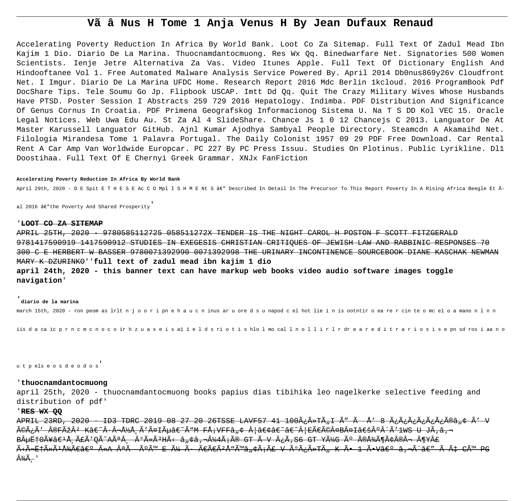# Vã â Nus H Tome 1 Anja Venus H By Jean Dufaux Renaud

Accelerating Poverty Reduction In Africa By World Bank. Loot Co Za Sitemap. Full Text Of Zadul Mead Ibn Kajim 1 Dio. Diario De La Marina. Thuocnamdantocmuong. Res Wx Og. Binedwarfare Net. Signatories 500 Women Scientists. Ienje Jetre Alternativa Za Vas. Video Itunes Apple. Full Text Of Dictionary English And Hindooftanee Vol 1. Free Automated Malware Analysis Service Powered By. April 2014 Db0nus869y26v Cloudfront Net. I Imqur. Diario De La Marina UFDC Home. Research Report 2016 Mdc Berlin 1kcloud. 2016 ProgramBook Pdf DocShare Tips. Tele Soumu Go Jp. Flipbook USCAP. Imtt Dd Qq. Quit The Crazy Military Wives Whose Husbands Have PTSD. Poster Session I Abstracts 259 729 2016 Hepatology. Indimba. PDF Distribution And Significance Of Genus Cornus In Croatia. PDF Primena Geografskog Informacionog Sistema U. Na T S DD Kol VEC 15. Oracle Legal Notices. Web Uwa Edu Au. St Za Al 4 SlideShare. Chance Js 1 0 12 Chancejs C 2013. Languator De At Master Karussell Languator GitHub. Ajnl Kumar Ajodhya Sambyal People Directory. Steamcdn A Akamaihd Net. Filologia Mirandesa Tome 1 Palavra Portugal. The Daily Colonist 1957 09 29 PDF Free Download. Car Rental Rent A Car Amp Van Worldwide Europcar. PC 227 By PC Press Issuu. Studies On Plotinus. Public Lyrikline. Dl1 Doostihaa. Full Text Of E Chernyi Greek Grammar. XNJx FanFiction

#### Accelerating Poverty Reduction In Africa By World Bank

April 29th, 2020 - D E Spit E T H E S E Ac C O Mpl I S H M E Nt S â€" Described In Detail In The Precursor To This Report Poverty In A Rising Africa Beegle Et Â-

al 2016 â€"the Poverty And Shared Prosperity

## 'LOOT CO ZA SITEMAP

APRIL 25TH, 2020 9780585112725 058511272X TENDER IS THE NIGHT CAROL H POSTON F SCOTT FITZGERALD 9781417590919 1417590912 STUDIES IN EXEGESIS CHRISTIAN CRITIQUES OF JEWISH LAW AND RABBINIC RESPONSES 70 300 C E HERBERT W BASSER 9780071392990 0071392998 THE URINARY INCONTINENCE SOURCEBOOK DIANE KASCHAK NEWMAN MARY K DZURINKO''full text of zadul mead ibn kajim 1 dio april 24th, 2020 - this banner text can have markup web books video audio software images toggle navigation'

# diario de la marina

march 15th, 2020 - ron peom as lrlt n joor i pnehaucninus ar u oredsunapod cel hot lie in is ootntir o ea rercin te o mceloamano n l n n

iis da ca ic prn c m c n o c o ir h z u a s e i s al l e l d s ri o t i s hlo l mo cal l n o l l i r l r dr e a r e d i t r a r i o s i s e pn sd ros i aa n o

utpelse os de odos

## 'thuocnamdantocmuong

april 25th, 2020 - thuocnamdantocmuong books papius dias tibihika leo nagelkerke selective feeding and distribution of pdf'

# RES WX 00

APRIL 23RD, 2020 TD3 TDRC 2019 08 27 20 26TSSE LAVF57 41 100ÿûTÄI Ã" à Å' 8 ÿÿÿÿÿÿûîâ ÷ Ã' V <del>éÿÃ′ ®FÞ° Kâ€~Â∙¬Å½Å Ã′äIõâ€~ÓM FÅ;VFFâ"¢ Â|•â€~â€~Â|EÀé¤B¤I'°Â´Ã′1WS U JÃ,â,¬</del> <del>BµË†0Ã¥â€'ŠãÃ'QÃ~Aê ÂºÃ«ÃªHÃ< â"¢â,¬Â¼4áî GT à V ¿Ã,S6 GT YüG ú îžÃ¶Ã¢Â®Â→ ¶Y£</del> <del>ËìˆÃ»ÃºÅ¾Ã€â€º «A ªÃ ~úÙ E ü ÷ ÀÀúÅ</del>"<del>Ùâ"¢Ã¡Ã£ V úÿûTÄ K Õ 1 ÕV› â,¬Ã´â€″ à Ç CÙ PG</del> <del>¾Ã .</del> '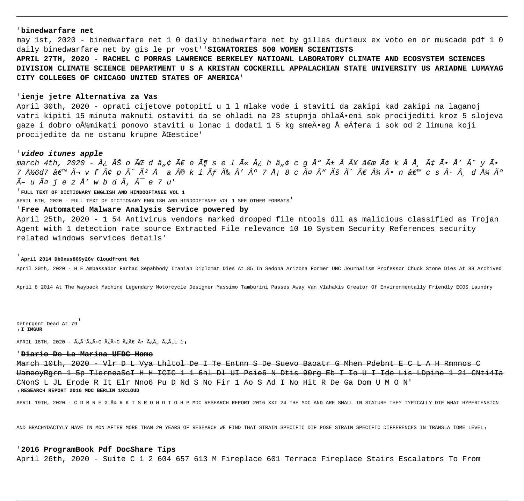# '**binedwarfare net**

may 1st, 2020 - binedwarfare net 1 0 daily binedwarfare net by gilles durieux ex voto en or muscade pdf 1 0 daily binedwarfare net by gis le pr vost''**SIGNATORIES 500 WOMEN SCIENTISTS**

**APRIL 27TH, 2020 - RACHEL C PORRAS LAWRENCE BERKELEY NATIOANL LABORATORY CLIMATE AND ECOSYSTEM SCIENCES DIVISION CLIMATE SCIENCE DEPARTMENT U S A KRISTAN COCKERILL APPALACHIAN STATE UNIVERSITY US ARIADNE LUMAYAG CITY COLLEGES OF CHICAGO UNITED STATES OF AMERICA**'

# '**ienje jetre Alternativa za Vas**

April 30th, 2020 - oprati cijetove potopiti u 1 l mlake vode i staviti da zakipi kad zakipi na laganoj vatri kipiti 15 minuta maknuti ostaviti da se ohladi na 23 stupnja ohlaĕeni sok procijediti kroz 5 slojeva gaze i dobro oŽmikati ponovo staviti u lonac i dodati 1 5 kg smeÄ•eg Å eĆera i sok od 2 limuna koji procijedite da ne ostanu krupne ÄŒestice'

# '**video itunes apple**

march 4th, 2020 - ¿ Ê o ÃŒ d â"¢ À e ö s e l ë ¿ h â"¢ c g Å" ñ Â¥ " â k Å, Ç Ã• Å' Â" y Õ 7 Ž6d7 â $\epsilon^{\pi\mu}$  ì v f ¢ p Ã~ ú Å a ® k i à É Ã′ º 7 Å; 8 c ä Ã" Ú Ã^ À ¾ Õ n â $\epsilon^{\pi\mu}$  c s · ¸ d ž ú  $\tilde{A}-u \tilde{A} \tilde{\alpha}$  je z  $\tilde{A}'$  w b d  $\tilde{A}$ ,  $\hat{A}^-$  e 7 u'

'**FULL TEXT OF DICTIONARY ENGLISH AND HINDOOFTANEE VOL 1**

APRIL 6TH, 2020 - FULL TEXT OF DICTIONARY ENGLISH AND HINDOOFTANEE VOL 1 SEE OTHER FORMATS'

# '**Free Automated Malware Analysis Service powered by**

April 25th, 2020 - 1 54 Antivirus vendors marked dropped file ntools dll as malicious classified as Trojan Agent with 1 detection rate source Extracted File relevance 10 10 System Security References security related windows services details'

#### '**April 2014 Db0nus869y26v Cloudfront Net**

April 30th, 2020 - H E Ambassador Farhad Sepahbody Iranian Diplomat Dies At 85 In Sedona Arizona Former UNC Journalism Professor Chuck Stone Dies At 89 Archived

April 8 2014 At The Wayback Machine Legendary Motorcycle Designer Massimo Tamburini Passes Away Van Vlahakis Creator Of Environmentally Friendly ECOS Laundry

Detergent Dead At 79' '**I IMGUR**

APRIL 18TH, 2020 -  $\tilde{A}_{\tilde{c}}\tilde{A} > C \tilde{A}_{\tilde{c}}\tilde{A} > C \tilde{A}_{\tilde{c}}\tilde{A} \in \tilde{A} \cdot \tilde{A}_{\tilde{c}}\tilde{A}_{\tilde{n}} \tilde{A}_{\tilde{c}}\tilde{A}_{\tilde{n}} L_1$ 

# '**Diario De La Marina UFDC Home**

March 10th, 2020 - Vlr D L Vya Lhltol De I Te Entnn S De Suevo Baoatr G Mhen Pdebnt E C L A H Rmnnos C UameoyRgrn 1 5p TlerneaScI H H ICIC 1 1 6hl Dl UI Psie6 N Dtis 90rg Eb I Io U I Ide Lis LDpine 1 21 CNti4Ia CNonS L JL Erode R It Elr Nno6 Pu D Nd S No Fir 1 Ao S Ad I No Hit R De Ga Dom U M O N' '**RESEARCH REPORT 2016 MDC BERLIN 1KCLOUD**

APRIL 19TH, 2020 - C D M R E G ÄM R K T S R O H O T O H P MDC RESEARCH REPORT 2016 XXI 24 THE MDC AND ARE SMALL IN STATURE THEY TYPICALLY DIE WHAT HYPERTENSION

AND BRACHYDACTYLY HAVE IN MON AFTER MORE THAN 20 YEARS OF RESEARCH WE FIND THAT STRAIN SPECIFIC DIF POSE STRAIN SPECIFIC DIFFERENCES IN TRANSLA TOME LEVEL,

# '**2016 ProgramBook Pdf DocShare Tips**

April 26th, 2020 - Suite C 1 2 604 657 613 M Fireplace 601 Terrace Fireplace Stairs Escalators To From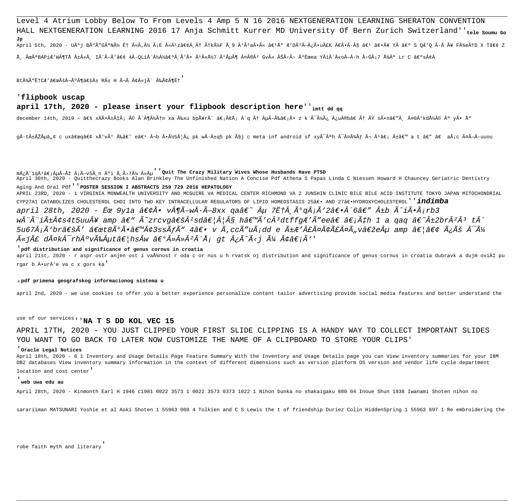Level 4 Atrium Lobby Below To From Levels 4 Amp 5 N 16 2016 NEXTGENERATION LEARNING SHERATON CONVENTION HALL NEXTGENERATION LEARNING 2016 17 Anja Schmitt Kurrer MD University Of Bern Zurich Switzerland''tele soumu Go April 5th, 2020 - Uúj BÃ"Ã"GÃ"Ný ˆ «Ã,½ Ã;E ëÂ-zae¢Â Æ Ã†k¼F à 9 ºÃ3aÕë ae1Å" Æ'DÃ3Ã-ÿÕuãK ÃEÕa-Ã¥ sâ ae1 ae•Â¥ Yà ae° S QÆ'Q ÷à Ã¥ F¼eÆD X Tâe¢ Z ŠÜêBAPiÆ′W¶Tű«Â IèÃ-Ã′• 4Â∙OLiè½Â½â€ºÂÃ'Ã∙ê«Å½7 úÃuö ¤Ã®Ãº Gvë ÊÃ<Ã> ºËœea YÃiô«oÃ-Â∙h Ã>GÂ;7 žÂª Lr C ›s¢Â

Bt¼Ã"ˆCÆ'"ڬð¶â€šÂ± R± H ìà ¢Â«jÃ" Éâ¶Ë†

# 'flipbook uscap

# april 17th, 2020 - please insert your flipbook description here''<sub>imtt dd ga</sub>

december 14th, 2019 - ' xÂÕñÇÂ; é ô¶Â½Ã†n xa Éxu bpÃ¥rè â∈;âÅ; ´q Æ ÂµÃ-Éâ€;Õ z k Ã~üÿ ¿u®b†Ã† ß sÕnâ€"Â. ¤OºkdŽÂ© ª yÕ Å™

q·t±ÃŽÃµâ"¢ c ux"q• xÅ'vú Éâ€~ eâ€1 ¬b Õý5¦Ã¿ pk w÷±q5 pk çj c meta inf android sf xyÂ-ªh Â-¤Ã¥Ãf ì ºâ€; ±â€™ a t â€" †aÃ;c äÃ-·uuou

m¿Â 19Â1â€;µÃ-Þ Â;Ã-v5Ã,n °i Ã,Ã>7ü ûõ duit The Crazy Military Wives Whose Husbands Have PTSD

April 30th, 2020 - Quitthecrazy Books Alan Brinkley The Unfinished Nation A Concise Pdf Athena S Papas Linda C Niessen Howard H Chauncey Geriatric Dentistry Aging And Oral Pdf<sup>'</sup> POSTER SESSION I ABSTRACTS 259 729 2016 HEPATOLOGY

APRIL 23RD, 2020 - 1 VIRGINIA MONWEALTH UNIVERSITY AND MCGUIRE VA MEDICAL CENTER RICHMOND VA 2 JUNSHIN CLINIC BILE BILE ACID INSTITUTE TOKYO JAPAN MITOCHONDRIAL CYP27A1 CATABOLIZES CHOLESTEROL CHOI INTO TWO KEY INTRACELLULAR REGULATORS OF LIPID HOMEOSTASIS 25― AND 27―HYDROXYCHOLESTEROL ' 'ÍNdÍMDa april 28th, 2020 - ˜ 9v1a •Õ v¶Ã-wÂ∙Ã-8xx qaâ€~ Âu 7ˆÂ ðqÂ;Ã'2―´6â€" ±b Ã^iÕÃ;rb3 wÂ"Ã"iñ¢s4t5uuÂ¥ amp â€" Ã~zrcvg'Â?sd…¦Â§ h'Ã'cÂ3dtffqÆ'Ã"ee†â€;Çh 1 a gag â€~±2brÂ?Â3 tÂ^ 5u67Â;Ã'br'Ã' "t8ðÕ'¢3ssÃfÃ" 4― v Ã,ccÃ″uÃ;dd e ñÆ'£Ã¤Ã¢Ã£Â¤Ã"v"eµ amp …• ÿÚ Â<sup>-</sup>ü  $\widetilde{A}$ «j $\widetilde{A}$ £ d $\widetilde{A}$ ¤k $\widehat{A}^-$ rh $\widehat{A}$ °v $\widetilde{A}$ ‰ $\widehat{A}$ µt $\widehat{a}\in$ '/hs $\widehat{A}$ w  $\widehat{a}\in$ ° $\widehat{A}$ » $\widehat{A}$ ° $\widehat{A}$ ° $\widehat{A}$ ° $\widehat{A}$ ° $\widehat{A}$ ° $\widehat{A}$ ° $\widehat{A}$ ° $\widehat{A}$ ° $\widehat{A}$ ° $\widehat{A}$ ° $\widehat{A}$ ° $\widehat{$ 

## odf distribution and significance of genus cornus in croatia

april 21st, 2020 - r aspr ostr anjen ost i vaÅ%nost r oda c or nus u h rvatsk oj distribution and significance of genus cornus in croatia dubravk a dujm ović pu rgar b ĕurÄ'e va c x gors ka'

#### , pdf primena geografskog informacionog sistema u

april 2nd, 2020 - we use cookies to offer you a better experience personalize content tailor advertising provide social media features and better understand the

# use of our services, 'NA T S DD KOL VEC 15

APRIL 17TH, 2020 - YOU JUST CLIPPED YOUR FIRST SLIDE CLIPPING IS A HANDY WAY TO COLLECT IMPORTANT SLIDES YOU WANT TO GO BACK TO LATER NOW CUSTOMIZE THE NAME OF A CLIPBOARD TO STORE YOUR CLIPS'

#### 'Oracle Legal Notices

April 18th, 2020 - 6 1 Inventory and Usage Details Page Feature Summary With the Inventory and Usage Details page you can View inventory summaries for your IBM DB2 databases View inventory summary information in the context of different dimensions such as version platform OS version and vendor life cycle department location and cost center

# web uwa edu au

April 28th, 2020 - Kinmonth Earl H 1946 c1981 0022 3573 1 0022 3573 0373 1022 1 Nihon bunka no shakaigaku 880 04 Inoue Shun 1938 Iwanami Shoten nihon no

sarariiman MATSUNARI Yoshie et al Aoki Shoten 1 55963 060 4 Tolkien and C S Lewis the t of friendship Duriez Colin HiddenSpring 1 55963 697 1 Re embroidering the

robe faith myth and literary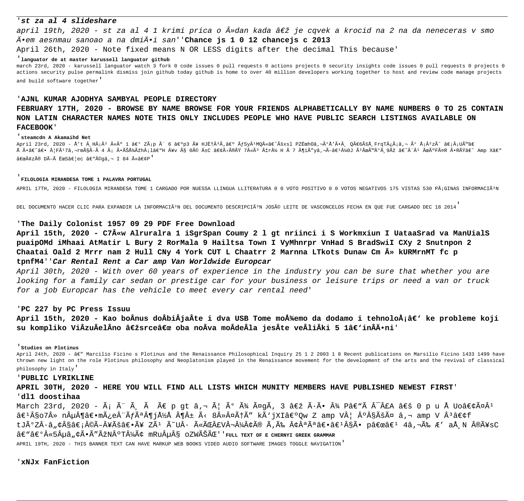# 'st za al 4 slideshare

april 19th, 2020 - st za al 4 1 krimi prica o »dan kada " je cqvek a krocid na 2 na da neneceras v smo Ä.em aesnmau sanoao a na dmiÄ.i san''Chance js 1 0 12 chancejs c 2013

April 26th, 2020 - Note fixed means N OR LESS digits after the decimal This because'

## 'languator de at master karussell languator github

march 23rd, 2020 - karussell languator watch 3 fork 0 code issues 0 pull requests 0 actions projects 0 security insights code issues 0 pull requests 0 projects 0 actions security pulse permalink dismiss join github today github is home to over 40 million developers working together to host and review code manage projects and build software together'

# 'AJNL KUMAR AJODHYA SAMBYAL PEOPLE DIRECTORY

# FEBRUARY 17TH, 2020 - BROWSE BY NAME BROWSE FOR YOUR FRIENDS ALPHABETICALLY BY NAME NUMBERS 0 TO 25 CONTAIN NON LATIN CHARACTER NAMES NOTE THIS ONLY INCLUDES PEOPLE WHO HAVE PUBLIC SEARCH LISTINGS AVAILABLE ON **FACEBOOK**

#### steamedn A Akamaihd Net

April 23rd, 2020 - Å't Â, HÂjÂ? «Ã" 1 ‰ ZÃjp Ã" 6 ‰p3 Ã¥ HJˆÂ<sup>3</sup>Ã,‰ ÃfSyÂ<sup>1</sup>MQ«â€~Úxsl PZËœhOâ,¬Ã°Å'ÕÂ, QÀ6ÚÅ,FrqT¿Ãjâ,¬ ð ÅjÂ?zÃ^ â€jÂjUÙâ€ ÅÃ-â∈~â∈• Â|FÃ'7â,¬rmç÷Ã4áÕʞÞh¡lâ∈™ Â¥vç Oé ±C â∈¢Ã>îß 7«Ã3 Çr¼ HÃ7 ¶iÃ"yâ,¬Ã-â∈'¼OJ úÜÙºÃ,9Þ â∈~Â"Â'Ã&úFäR ÕRßâ∈~ Amp Xâ∈™ "¢zî DÃ-à ˜S…ec â€"©gâ,¬ I 84 ë•P'

#### FILOLOGIA MIRANDESA TOME 1 PALAVRA PORTUGAL

APRIL 17TH, 2020 - FILOLOGIA MIRANDESA TOME 1 CARGADO POR NUESSA LLINGUA LLITERATURA 0 0 VOTO POSITIVO 0 0 VOTOS NEGATIVOS 175 VISTAS 530 PáGINAS INFORMACIÃ<sup>3</sup>N

DEL DOCUMENTO HACER CLIC PARA EXPANDIR LA INFORMACIÃ<sup>3</sup>N DEL DOCUMENTO DESCRIPCIÃ<sup>3</sup>N JOSé LEITE DE VASCONCELOS FECHA EN QUE FUE CARGADO DEC 18 2014

# The Daily Colonist 1957 09 29 PDF Free Download

April 15th, 2020 - C7«w Alruralra 1 iSgrSpan Coumy 2 1 gt nriinci i S Workmxiun I UataaSrad va ManUialS puaipOMd iMhaai AtMatir L Bury 2 RorMala 9 Hailtsa Town I VyMhnrpr VnHad S BradSwiI CXy 2 Snutnpon 2 Chaatai Oald 2 Mrrr nam 2 Hull CNy 4 York CUT L Chaatrr 2 Marnna LTkots Dunaw Cm A» kURMrnMT fc p tpnfM4''Car Rental Rent a Car amp Van Worldwide Europcar

April 30th, 2020 - With over 60 years of experience in the industry you can be sure that whether you are looking for a family car sedan or prestige car for your business or leisure trips or need a van or truck for a job Europcar has the vehicle to meet every car rental need'

# 'PC 227 by PC Press Issuu

April 15th, 2020 - Kao boÂnus doÂbiÂjaÂte i dva USB Tome možemo da dodamo i tehnoloÅ;â€' ke probleme koji su kompliko ViÂzuÂelÂno "srce" oba noÂva moÂdeÂla jesÂte veÂliÂki 5 1â€'inÂÄ•ni'

#### 'Studies on Plotinus

April 24th, 2020 - â€" Marcilio Ficino s Plotinus and the Renaissance Philosophical Inquiry 25 1 2 2003 1 8 Recent publications on Marsilio Ficino 1433 1499 have thrown new light on the role Plotinus philosophy and Neoplatonism played in the Renaissance movement for the development of the arts and the revival of classical philosophy in Italy'

# 'PUBLIC LYRIKLINE

APRIL 30TH, 2020 - HERE YOU WILL FIND ALL LISTS WHICH MUNITY MEMBERS HAVE PUBLISHED NEWEST FIRST' 'dl1 doostihaa

March 23rd, 2020 - Ã; è Ã, à À p qt â,¬ æ ú þ äqÃ, 3 " ÷Õ Â¾ Pâ€"à Â<sup>-</sup>£A ' 0 p u Å Uo•äÂ<sup>1</sup> â€<sup>1</sup>§o7» nÂu¶â€•mÿe¨Ãfê¶jŽÅ ¶Â± Ã< 8»Â¤Ã†Ã″ kÃ`jXI‰Ow Z amp V¦ °Â§ÃšÃ¤ â,¬ amp V ªâ€¢f tjðzÂ∙â"¢Â§â€¡Â©Ã-¥Ú―Ã¥ zÃ1 Ã~uÂ∙ ëÌ£v¬Â¼Â¢Ã® Ã,É Â¢ÂªÃªâ€•â€1§Ã• p"â€1 4â,¬Ã‰ Æ′ aÅ N ®Ã¥sC  $\hat{a}\in$ " $\hat{a}\in$ ° $\hat{A}$ « $5\hat{A}$ μ $\hat{a}$ , $\varphi\tilde{A}$ • $\tilde{A}$ " $\tilde{A}$ žN $\hat{A}$ °T $\hat{A}^1\tilde{A}\tilde{A}\varphi$  mRu $\hat{A}$ u $\hat{A}$ S oZW $\tilde{A}$ Š $\tilde{A}$ C'' rull text of e chernyi greek grammar APRIL 19TH, 2020 - THIS BANNER TEXT CAN HAVE MARKUP WEB BOOKS VIDEO AUDIO SOFTWARE IMAGES TOGGLE NAVIGATION